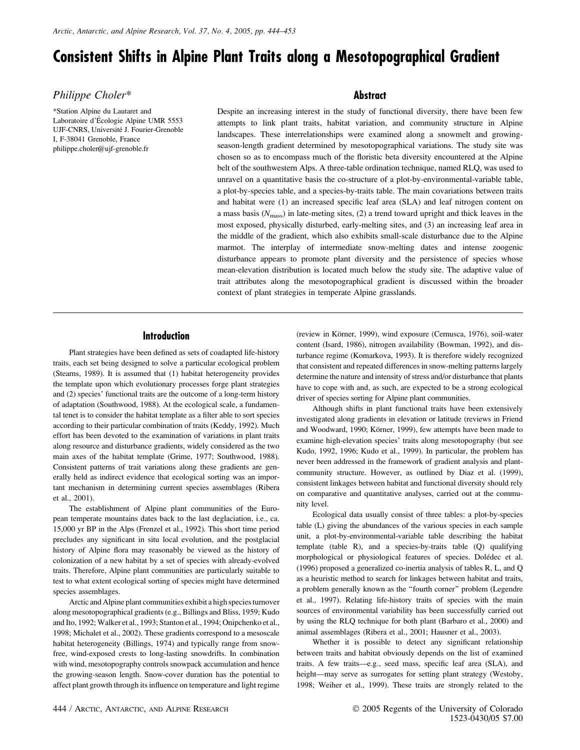# Consistent Shifts in Alpine Plant Traits along a Mesotopographical Gradient

# Philippe Choler\*

\*Station Alpine du Lautaret and Laboratoire d'Écologie Alpine UMR 5553 UJF-CNRS, Université J. Fourier-Grenoble I, F-38041 Grenoble, France philippe.choler@ujf-grenoble.fr

# **Abstract**

Despite an increasing interest in the study of functional diversity, there have been few attempts to link plant traits, habitat variation, and community structure in Alpine landscapes. These interrelationships were examined along a snowmelt and growingseason-length gradient determined by mesotopographical variations. The study site was chosen so as to encompass much of the floristic beta diversity encountered at the Alpine belt of the southwestern Alps. A three-table ordination technique, named RLQ, was used to unravel on a quantitative basis the co-structure of a plot-by-environmental-variable table, a plot-by-species table, and a species-by-traits table. The main covariations between traits and habitat were (1) an increased specific leaf area (SLA) and leaf nitrogen content on a mass basis  $(N<sub>mass</sub>)$  in late-meting sites, (2) a trend toward upright and thick leaves in the most exposed, physically disturbed, early-melting sites, and (3) an increasing leaf area in the middle of the gradient, which also exhibits small-scale disturbance due to the Alpine marmot. The interplay of intermediate snow-melting dates and intense zoogenic disturbance appears to promote plant diversity and the persistence of species whose mean-elevation distribution is located much below the study site. The adaptive value of trait attributes along the mesotopographical gradient is discussed within the broader context of plant strategies in temperate Alpine grasslands.

# Introduction

Plant strategies have been defined as sets of coadapted life-history traits, each set being designed to solve a particular ecological problem (Stearns, 1989). It is assumed that (1) habitat heterogeneity provides the template upon which evolutionary processes forge plant strategies and (2) species' functional traits are the outcome of a long-term history of adaptation (Southwood, 1988). At the ecological scale, a fundamental tenet is to consider the habitat template as a filter able to sort species according to their particular combination of traits (Keddy, 1992). Much effort has been devoted to the examination of variations in plant traits along resource and disturbance gradients, widely considered as the two main axes of the habitat template (Grime, 1977; Southwood, 1988). Consistent patterns of trait variations along these gradients are generally held as indirect evidence that ecological sorting was an important mechanism in determining current species assemblages (Ribera et al., 2001).

The establishment of Alpine plant communities of the European temperate mountains dates back to the last deglaciation, i.e., ca. 15,000 yr BP in the Alps (Frenzel et al., 1992). This short time period precludes any significant in situ local evolution, and the postglacial history of Alpine flora may reasonably be viewed as the history of colonization of a new habitat by a set of species with already-evolved traits. Therefore, Alpine plant communities are particularly suitable to test to what extent ecological sorting of species might have determined species assemblages.

Arctic and Alpine plant communities exhibit a high species turnover along mesotopographical gradients (e.g., Billings and Bliss, 1959; Kudo and Ito, 1992; Walker et al., 1993; Stanton et al., 1994; Onipchenko et al., 1998; Michalet et al., 2002). These gradients correspond to a mesoscale habitat heterogeneity (Billings, 1974) and typically range from snowfree, wind-exposed crests to long-lasting snowdrifts. In combination with wind, mesotopography controls snowpack accumulation and hence the growing-season length. Snow-cover duration has the potential to affect plant growth through its influence on temperature and light regime (review in Körner, 1999), wind exposure (Cernusca, 1976), soil-water content (Isard, 1986), nitrogen availability (Bowman, 1992), and disturbance regime (Komarkova, 1993). It is therefore widely recognized that consistent and repeated differences in snow-melting patterns largely determine the nature and intensity of stress and/or disturbance that plants have to cope with and, as such, are expected to be a strong ecological driver of species sorting for Alpine plant communities.

Although shifts in plant functional traits have been extensively investigated along gradients in elevation or latitude (reviews in Friend and Woodward, 1990; Körner, 1999), few attempts have been made to examine high-elevation species' traits along mesotopography (but see Kudo, 1992, 1996; Kudo et al., 1999). In particular, the problem has never been addressed in the framework of gradient analysis and plantcommunity structure. However, as outlined by Diaz et al. (1999), consistent linkages between habitat and functional diversity should rely on comparative and quantitative analyses, carried out at the community level.

Ecological data usually consist of three tables: a plot-by-species table (L) giving the abundances of the various species in each sample unit, a plot-by-environmental-variable table describing the habitat template (table R), and a species-by-traits table (Q) qualifying morphological or physiological features of species. Dolédec et al. (1996) proposed a generalized co-inertia analysis of tables R, L, and Q as a heuristic method to search for linkages between habitat and traits, a problem generally known as the ''fourth corner'' problem (Legendre et al., 1997). Relating life-history traits of species with the main sources of environmental variability has been successfully carried out by using the RLQ technique for both plant (Barbaro et al., 2000) and animal assemblages (Ribera et al., 2001; Hausner et al., 2003).

Whether it is possible to detect any significant relationship between traits and habitat obviously depends on the list of examined traits. A few traits—e.g., seed mass, specific leaf area (SLA), and height—may serve as surrogates for setting plant strategy (Westoby, 1998; Weiher et al., 1999). These traits are strongly related to the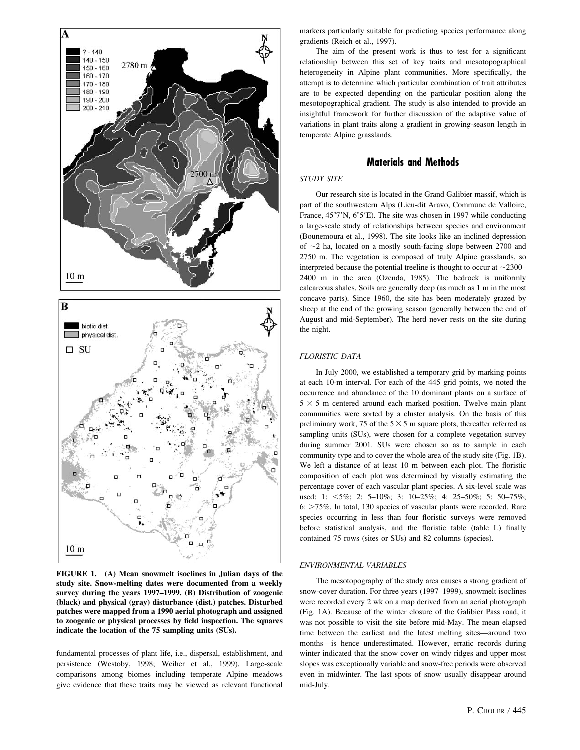



FIGURE 1. (A) Mean snowmelt isoclines in Julian days of the study site. Snow-melting dates were documented from a weekly survey during the years 1997–1999. (B) Distribution of zoogenic (black) and physical (gray) disturbance (dist.) patches. Disturbed patches were mapped from a 1990 aerial photograph and assigned to zoogenic or physical processes by field inspection. The squares indicate the location of the 75 sampling units (SUs).

fundamental processes of plant life, i.e., dispersal, establishment, and persistence (Westoby, 1998; Weiher et al., 1999). Large-scale comparisons among biomes including temperate Alpine meadows give evidence that these traits may be viewed as relevant functional markers particularly suitable for predicting species performance along gradients (Reich et al., 1997).

The aim of the present work is thus to test for a significant relationship between this set of key traits and mesotopographical heterogeneity in Alpine plant communities. More specifically, the attempt is to determine which particular combination of trait attributes are to be expected depending on the particular position along the mesotopographical gradient. The study is also intended to provide an insightful framework for further discussion of the adaptive value of variations in plant traits along a gradient in growing-season length in temperate Alpine grasslands.

# Materials and Methods

## STUDY SITE

Our research site is located in the Grand Galibier massif, which is part of the southwestern Alps (Lieu-dit Aravo, Commune de Valloire, France,  $45^{\circ}7'N$ ,  $6^{\circ}5'E$ ). The site was chosen in 1997 while conducting a large-scale study of relationships between species and environment (Bounemoura et al., 1998). The site looks like an inclined depression of  $\sim$ 2 ha, located on a mostly south-facing slope between 2700 and 2750 m. The vegetation is composed of truly Alpine grasslands, so interpreted because the potential treeline is thought to occur at  $\sim$ 2300– 2400 m in the area (Ozenda, 1985). The bedrock is uniformly calcareous shales. Soils are generally deep (as much as 1 m in the most concave parts). Since 1960, the site has been moderately grazed by sheep at the end of the growing season (generally between the end of August and mid-September). The herd never rests on the site during the night.

#### FLORISTIC DATA

In July 2000, we established a temporary grid by marking points at each 10-m interval. For each of the 445 grid points, we noted the occurrence and abundance of the 10 dominant plants on a surface of  $5 \times 5$  m centered around each marked position. Twelve main plant communities were sorted by a cluster analysis. On the basis of this preliminary work, 75 of the  $5 \times 5$  m square plots, thereafter referred as sampling units (SUs), were chosen for a complete vegetation survey during summer 2001. SUs were chosen so as to sample in each community type and to cover the whole area of the study site (Fig. 1B). We left a distance of at least 10 m between each plot. The floristic composition of each plot was determined by visually estimating the percentage cover of each vascular plant species. A six-level scale was used: 1:  $\lt 5\%$ ; 2: 5–10%; 3: 10–25%; 4: 25–50%; 5: 50–75%;  $6:$   $>75\%$ . In total, 130 species of vascular plants were recorded. Rare species occurring in less than four floristic surveys were removed before statistical analysis, and the floristic table (table L) finally contained 75 rows (sites or SUs) and 82 columns (species).

#### ENVIRONMENTAL VARIABLES

The mesotopography of the study area causes a strong gradient of snow-cover duration. For three years (1997–1999), snowmelt isoclines were recorded every 2 wk on a map derived from an aerial photograph (Fig. 1A). Because of the winter closure of the Galibier Pass road, it was not possible to visit the site before mid-May. The mean elapsed time between the earliest and the latest melting sites—around two months—is hence underestimated. However, erratic records during winter indicated that the snow cover on windy ridges and upper most slopes was exceptionally variable and snow-free periods were observed even in midwinter. The last spots of snow usually disappear around mid-July.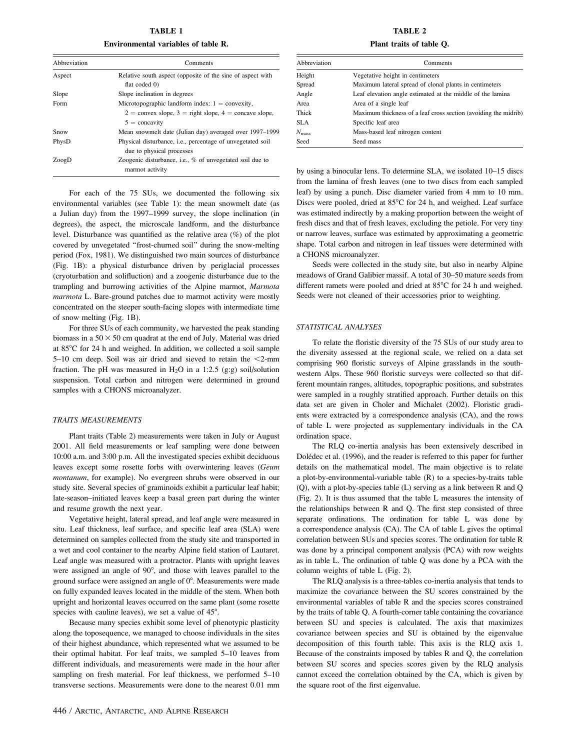TABLE 1 Environmental variables of table R.

| Abbreviation | Comments                                                                     |  |  |  |  |  |
|--------------|------------------------------------------------------------------------------|--|--|--|--|--|
| Aspect       | Relative south aspect (opposite of the sine of aspect with                   |  |  |  |  |  |
|              | flat coded 0)                                                                |  |  |  |  |  |
| Slope        | Slope inclination in degrees                                                 |  |  |  |  |  |
| Form         | Microtopographic landform index: $1 =$ convexity,                            |  |  |  |  |  |
|              | $2 = \text{convex slope}, 3 = \text{right slope}, 4 = \text{concave slope},$ |  |  |  |  |  |
|              | $5 = \text{concavity}$                                                       |  |  |  |  |  |
| Snow         | Mean snowmelt date (Julian day) averaged over 1997–1999                      |  |  |  |  |  |
| PhysD        | Physical disturbance, i.e., percentage of unvegetated soil                   |  |  |  |  |  |
|              | due to physical processes                                                    |  |  |  |  |  |
| ZoogD        | Zoogenic disturbance, i.e., % of unvegetated soil due to                     |  |  |  |  |  |
|              | marmot activity                                                              |  |  |  |  |  |

For each of the 75 SUs, we documented the following six environmental variables (see Table 1): the mean snowmelt date (as a Julian day) from the 1997–1999 survey, the slope inclination (in degrees), the aspect, the microscale landform, and the disturbance level. Disturbance was quantified as the relative area (%) of the plot covered by unvegetated ''frost-churned soil'' during the snow-melting period (Fox, 1981). We distinguished two main sources of disturbance (Fig. 1B): a physical disturbance driven by periglacial processes (cryoturbation and solifluction) and a zoogenic disturbance due to the trampling and burrowing activities of the Alpine marmot, Marmota marmota L. Bare-ground patches due to marmot activity were mostly concentrated on the steeper south-facing slopes with intermediate time of snow melting (Fig. 1B).

For three SUs of each community, we harvested the peak standing biomass in a  $50 \times 50$  cm quadrat at the end of July. Material was dried at 85°C for 24 h and weighed. In addition, we collected a soil sample 5–10 cm deep. Soil was air dried and sieved to retain the  $<$ 2-mm fraction. The pH was measured in  $H_2O$  in a 1:2.5 (g:g) soil/solution suspension. Total carbon and nitrogen were determined in ground samples with a CHONS microanalyzer.

## TRAITS MEASUREMENTS

Plant traits (Table 2) measurements were taken in July or August 2001. All field measurements or leaf sampling were done between 10:00 a.m. and 3:00 p.m. All the investigated species exhibit deciduous leaves except some rosette forbs with overwintering leaves (Geum montanum, for example). No evergreen shrubs were observed in our study site. Several species of graminoids exhibit a particular leaf habit; late-season–initiated leaves keep a basal green part during the winter and resume growth the next year.

Vegetative height, lateral spread, and leaf angle were measured in situ. Leaf thickness, leaf surface, and specific leaf area (SLA) were determined on samples collected from the study site and transported in a wet and cool container to the nearby Alpine field station of Lautaret. Leaf angle was measured with a protractor. Plants with upright leaves were assigned an angle of  $90^\circ$ , and those with leaves parallel to the ground surface were assigned an angle of  $0^\circ$ . Measurements were made on fully expanded leaves located in the middle of the stem. When both upright and horizontal leaves occurred on the same plant (some rosette species with cauline leaves), we set a value of  $45^{\circ}$ .

Because many species exhibit some level of phenotypic plasticity along the toposequence, we managed to choose individuals in the sites of their highest abundance, which represented what we assumed to be their optimal habitat. For leaf traits, we sampled 5–10 leaves from different individuals, and measurements were made in the hour after sampling on fresh material. For leaf thickness, we performed 5–10 transverse sections. Measurements were done to the nearest 0.01 mm

TABLE 2 Plant traits of table Q.

| Abbreviation   | Comments                                                        |  |  |  |  |
|----------------|-----------------------------------------------------------------|--|--|--|--|
| Height         | Vegetative height in centimeters                                |  |  |  |  |
| Spread         | Maximum lateral spread of clonal plants in centimeters          |  |  |  |  |
| Angle          | Leaf elevation angle estimated at the middle of the lamina      |  |  |  |  |
| Area           | Area of a single leaf                                           |  |  |  |  |
| Thick          | Maximum thickness of a leaf cross section (avoiding the midrib) |  |  |  |  |
| <b>SLA</b>     | Specific leaf area                                              |  |  |  |  |
| $N_{\rm mass}$ | Mass-based leaf nitrogen content                                |  |  |  |  |
| Seed           | Seed mass                                                       |  |  |  |  |

by using a binocular lens. To determine SLA, we isolated 10–15 discs from the lamina of fresh leaves (one to two discs from each sampled leaf) by using a punch. Disc diameter varied from 4 mm to 10 mm. Discs were pooled, dried at  $85^{\circ}$ C for 24 h, and weighed. Leaf surface was estimated indirectly by a making proportion between the weight of fresh discs and that of fresh leaves, excluding the petiole. For very tiny or narrow leaves, surface was estimated by approximating a geometric shape. Total carbon and nitrogen in leaf tissues were determined with a CHONS microanalyzer.

Seeds were collected in the study site, but also in nearby Alpine meadows of Grand Galibier massif. A total of 30–50 mature seeds from different ramets were pooled and dried at  $85^{\circ}$ C for 24 h and weighed. Seeds were not cleaned of their accessories prior to weighting.

#### STATISTICAL ANALYSES

To relate the floristic diversity of the 75 SUs of our study area to the diversity assessed at the regional scale, we relied on a data set comprising 960 floristic surveys of Alpine grasslands in the southwestern Alps. These 960 floristic surveys were collected so that different mountain ranges, altitudes, topographic positions, and substrates were sampled in a roughly stratified approach. Further details on this data set are given in Choler and Michalet (2002). Floristic gradients were extracted by a correspondence analysis (CA), and the rows of table L were projected as supplementary individuals in the CA ordination space.

The RLQ co-inertia analysis has been extensively described in Dolédec et al. (1996), and the reader is referred to this paper for further details on the mathematical model. The main objective is to relate a plot-by-environmental-variable table (R) to a species-by-traits table (Q), with a plot-by-species table (L) serving as a link between R and Q (Fig. 2). It is thus assumed that the table L measures the intensity of the relationships between R and Q. The first step consisted of three separate ordinations. The ordination for table L was done by a correspondence analysis (CA). The CA of table L gives the optimal correlation between SUs and species scores. The ordination for table R was done by a principal component analysis (PCA) with row weights as in table L. The ordination of table Q was done by a PCA with the column weights of table L (Fig. 2).

The RLQ analysis is a three-tables co-inertia analysis that tends to maximize the covariance between the SU scores constrained by the environmental variables of table R and the species scores constrained by the traits of table Q. A fourth-corner table containing the covariance between SU and species is calculated. The axis that maximizes covariance between species and SU is obtained by the eigenvalue decomposition of this fourth table. This axis is the RLQ axis 1. Because of the constraints imposed by tables R and Q, the correlation between SU scores and species scores given by the RLQ analysis cannot exceed the correlation obtained by the CA, which is given by the square root of the first eigenvalue.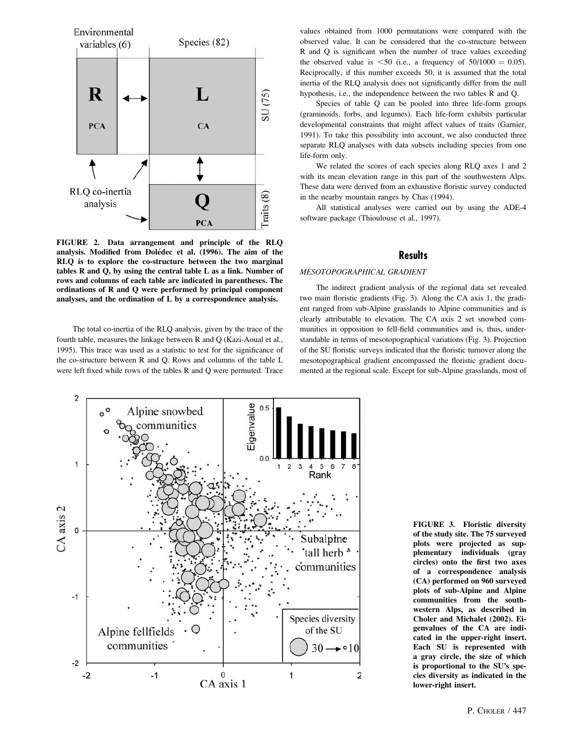

FIGURE 2. Data arrangement and principle of the RLQ analysis. Modified from Dolédec et al. (1996). The aim of the RLQ is to explore the co-structure between the two marginal tables R and Q, by using the central table L as a link. Number of rows and columns of each table are indicated in parentheses. The ordinations of R and Q were performed by principal component analyses, and the ordination of L by a correspondence analysis.

The total co-inertia of the RLQ analysis, given by the trace of the fourth table, measures the linkage between R and Q (Kazi-Aoual et al., 1995). This trace was used as a statistic to test for the significance of the co-structure between R and Q. Rows and columns of the table L were left fixed while rows of the tables R and Q were permuted. Trace values obtained from 1000 permutations were compared with the observed value. It can be considered that the co-structure between R and Q is significant when the number of trace values exceeding the observed value is  $\leq 50$  (i.e., a frequency of  $50/1000 = 0.05$ ). Reciprocally, if this number exceeds 50, it is assumed that the total inertia of the RLQ analysis does not significantly differ from the null hypothesis, i.e., the independence between the two tables R and Q.

Species of table Q can be pooled into three life-form groups (graminoids, forbs, and legumes). Each life-form exhibits particular developmental constraints that might affect values of traits (Garnier, 1991). To take this possibility into account, we also conducted three separate RLQ analyses with data subsets including species from one life-form only.

We related the scores of each species along RLQ axes 1 and 2 with its mean elevation range in this part of the southwestern Alps. These data were derived from an exhaustive floristic survey conducted in the nearby mountain ranges by Chas (1994).

All statistical analyses were carried out by using the ADE-4 software package (Thioulouse et al., 1997).

# **Results**

#### MESOTOPOGRAPHICAL GRADIENT

The indirect gradient analysis of the regional data set revealed two main floristic gradients (Fig. 3). Along the CA axis 1, the gradient ranged from sub-Alpine grasslands to Alpine communities and is clearly attributable to elevation. The CA axis 2 set snowbed communities in opposition to fell-field communities and is, thus, understandable in terms of mesotopographical variations (Fig. 3). Projection of the SU floristic surveys indicated that the floristic turnover along the mesotopographical gradient encompassed the floristic gradient documented at the regional scale. Except for sub-Alpine grasslands, most of



FIGURE 3. Floristic diversity of the study site. The 75 surveyed plots were projected as supplementary individuals (gray circles) onto the first two axes of a correspondence analysis (CA) performed on 960 surveyed plots of sub-Alpine and Alpine communities from the southwestern Alps, as described in Choler and Michalet (2002). Eigenvalues of the CA are indicated in the upper-right insert. Each SU is represented with a gray circle, the size of which is proportional to the SU's species diversity as indicated in the lower-right insert.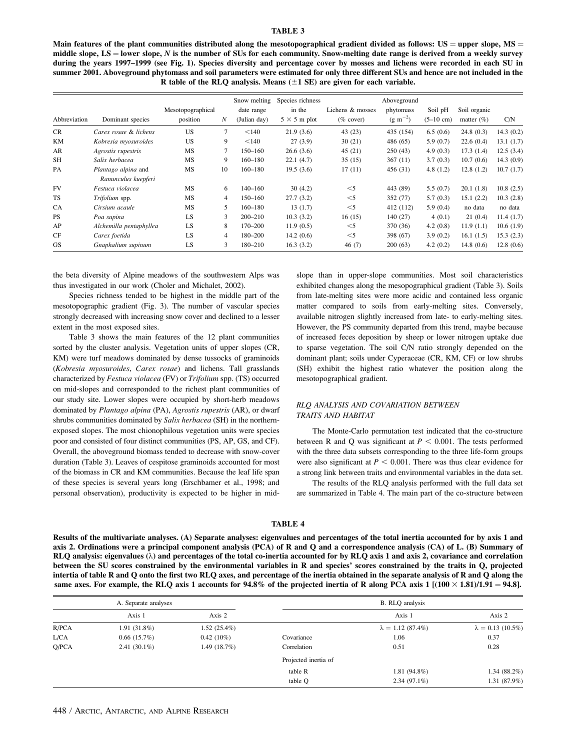## TABLE 3

Main features of the plant communities distributed along the mesotopographical gradient divided as follows:  $US =$  upper slope,  $MS =$ middle slope,  $LS =$  lower slope, N is the number of SUs for each community. Snow-melting date range is derived from a weekly survey during the years 1997–1999 (see Fig. 1). Species diversity and percentage cover by mosses and lichens were recorded in each SU in summer 2001. Aboveground phytomass and soil parameters were estimated for only three different SUs and hence are not included in the R table of the RLQ analysis. Means  $(\pm 1 \text{ SE})$  are given for each variable.

| Abbreviation | Dominant species                           | Mesotopographical<br>position | N              | Snow melting<br>date range<br>(Julian day) | Species richness<br>in the<br>$5 \times 5$ m plot | Lichens & mosses<br>$(\%$ cover) | Aboveground<br>phytomass<br>$(g \, m^{-2})$ | Soil pH<br>$(5-10 \text{ cm})$ | Soil organic<br>matter $(\% )$ | C/N       |
|--------------|--------------------------------------------|-------------------------------|----------------|--------------------------------------------|---------------------------------------------------|----------------------------------|---------------------------------------------|--------------------------------|--------------------------------|-----------|
| <b>CR</b>    | Carex rosae & lichens                      | <b>US</b>                     | 7              | < 140                                      | 21.9(3.6)                                         | 43 (23)                          | 435 (154)                                   | 6.5(0.6)                       | 24.8(0.3)                      | 14.3(0.2) |
| <b>KM</b>    | Kobresia myosuroides                       | US                            | 9              | < 140                                      | 27(3.9)                                           | 30(21)                           | 486 (65)                                    | 5.9(0.7)                       | 22.6(0.4)                      | 13.1(1.7) |
| AR           | Agrostis rupestris                         | MS                            | 7              | $150 - 160$                                | 26.6(3.6)                                         | 45(21)                           | 250(43)                                     | 4.9(0.3)                       | 17.3(1.4)                      | 12.5(3.4) |
| <b>SH</b>    | Salix herbacea                             | MS                            | 9              | $160 - 180$                                | 22.1(4.7)                                         | 35(15)                           | 367(11)                                     | 3.7(0.3)                       | 10.7(0.6)                      | 14.3(0.9) |
| PA           | Plantago alpina and<br>Ranunculus kuepferi | MS                            | 10             | $160 - 180$                                | 19.5(3.6)                                         | 17(11)                           | 456 (31)                                    | 4.8(1.2)                       | 12.8(1.2)                      | 10.7(1.7) |
| <b>FV</b>    | Festuca violacea                           | <b>MS</b>                     | 6              | $140 - 160$                                | 30(4.2)                                           | $<$ 5                            | 443 (89)                                    | 5.5(0.7)                       | 20.1(1.8)                      | 10.8(2.5) |
| <b>TS</b>    | Trifolium spp.                             | MS                            | 4              | $150 - 160$                                | 27.7(3.2)                                         | $<$ 5                            | 352 (77)                                    | 5.7(0.3)                       | 15.1(2.2)                      | 10.3(2.8) |
| <b>CA</b>    | Cirsium acaule                             | MS                            | 5              | $160 - 180$                                | 13(1.7)                                           | $<$ 5                            | 412 (112)                                   | 5.9(0.4)                       | no data                        | no data   |
| <b>PS</b>    | Poa supina                                 | LS                            | 3              | $200 - 210$                                | 10.3(3.2)                                         | 16(15)                           | 140(27)                                     | 4(0.1)                         | 21(0.4)                        | 11.4(1.7) |
| AP           | Alchemilla pentaphyllea                    | LS                            | 8              | $170 - 200$                                | 11.9(0.5)                                         | $<$ 5                            | 370 (36)                                    | 4.2(0.8)                       | 11.9(1.1)                      | 10.6(1.9) |
| CF           | Carex foetida                              | <b>LS</b>                     | $\overline{4}$ | 180-200                                    | 14.2(0.6)                                         | $<$ 5                            | 398 (67)                                    | 3.9(0.2)                       | 16.1(1.5)                      | 15.3(2.3) |
| GS           | Gnaphalium supinum                         | LS                            | 3              | 180-210                                    | 16.3(3.2)                                         | 46(7)                            | 200(63)                                     | 4.2(0.2)                       | 14.8(0.6)                      | 12.8(0.6) |

the beta diversity of Alpine meadows of the southwestern Alps was thus investigated in our work (Choler and Michalet, 2002).

Species richness tended to be highest in the middle part of the mesotopographic gradient (Fig. 3). The number of vascular species strongly decreased with increasing snow cover and declined to a lesser extent in the most exposed sites.

Table 3 shows the main features of the 12 plant communities sorted by the cluster analysis. Vegetation units of upper slopes (CR, KM) were turf meadows dominated by dense tussocks of graminoids (Kobresia myosuroides, Carex rosae) and lichens. Tall grasslands characterized by Festuca violacea (FV) or Trifolium spp. (TS) occurred on mid-slopes and corresponded to the richest plant communities of our study site. Lower slopes were occupied by short-herb meadows dominated by Plantago alpina (PA), Agrostis rupestris (AR), or dwarf shrubs communities dominated by Salix herbacea (SH) in the northernexposed slopes. The most chionophilous vegetation units were species poor and consisted of four distinct communities (PS, AP, GS, and CF). Overall, the aboveground biomass tended to decrease with snow-cover duration (Table 3). Leaves of cespitose graminoids accounted for most of the biomass in CR and KM communities. Because the leaf life span of these species is several years long (Erschbamer et al., 1998; and personal observation), productivity is expected to be higher in midslope than in upper-slope communities. Most soil characteristics exhibited changes along the mesopographical gradient (Table 3). Soils from late-melting sites were more acidic and contained less organic matter compared to soils from early-melting sites. Conversely, available nitrogen slightly increased from late- to early-melting sites. However, the PS community departed from this trend, maybe because of increased feces deposition by sheep or lower nitrogen uptake due to sparse vegetation. The soil C/N ratio strongly depended on the dominant plant; soils under Cyperaceae (CR, KM, CF) or low shrubs (SH) exhibit the highest ratio whatever the position along the mesotopographical gradient.

## RLQ ANALYSIS AND COVARIATION BETWEEN TRAITS AND HABITAT

The Monte-Carlo permutation test indicated that the co-structure between R and Q was significant at  $P < 0.001$ . The tests performed with the three data subsets corresponding to the three life-form groups were also significant at  $P < 0.001$ . There was thus clear evidence for a strong link between traits and environmental variables in the data set.

The results of the RLQ analysis performed with the full data set are summarized in Table 4. The main part of the co-structure between

#### TABLE 4

Results of the multivariate analyses. (A) Separate analyses: eigenvalues and percentages of the total inertia accounted for by axis 1 and axis 2. Ordinations were a principal component analysis (PCA) of R and Q and a correspondence analysis (CA) of L. (B) Summary of RLQ analysis: eigenvalues  $(\lambda)$  and percentages of the total co-inertia accounted for by RLQ axis 1 and axis 2, covariance and correlation between the SU scores constrained by the environmental variables in R and species' scores constrained by the traits in Q, projected intertia of table R and Q onto the first two RLQ axes, and percentage of the inertia obtained in the separate analysis of R and Q along the same axes. For example, the RLQ axis 1 accounts for 94.8% of the projected inertia of R along PCA axis 1  $[(100 \times 1.81)/1.91 = 94.8]$ .

|       | A. Separate analyses |                |                      | B. RLQ analysis          |                          |  |
|-------|----------------------|----------------|----------------------|--------------------------|--------------------------|--|
|       | Axis 1               | Axis 2         |                      | Axis 1                   | Axis 2                   |  |
| R/PCA | $1.91(31.8\%)$       | $1.52(25.4\%)$ |                      | $\lambda = 1.12(87.4\%)$ | $\lambda = 0.13$ (10.5%) |  |
| L/CA  | 0.66(15.7%)          | $0.42(10\%)$   | Covariance           | 1.06                     | 0.37                     |  |
| Q/PCA | $2.41(30.1\%)$       | 1.49 $(18.7%)$ | Correlation          | 0.51                     | 0.28                     |  |
|       |                      |                | Projected inertia of |                          |                          |  |
|       |                      |                | table R              | $1.81(94.8\%)$           | 1.34 $(88.2\%)$          |  |
|       |                      |                | table O              | $2.34(97.1\%)$           | 1.31 (87.9%)             |  |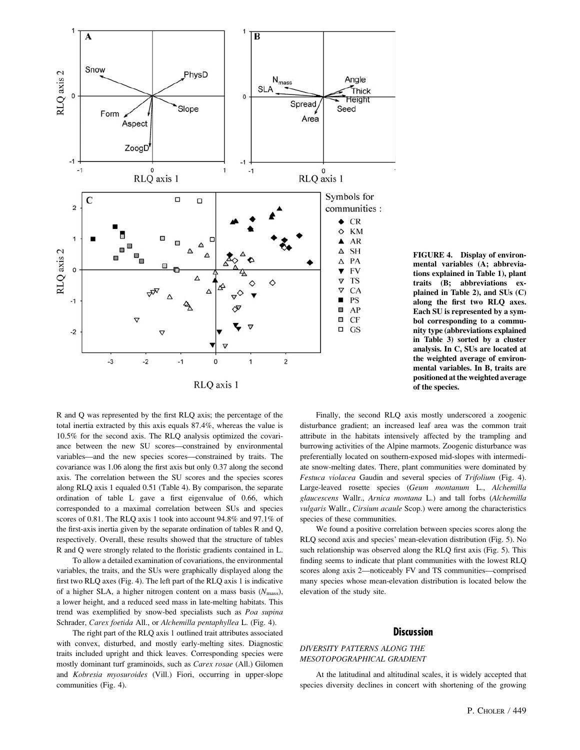

R and Q was represented by the first RLQ axis; the percentage of the total inertia extracted by this axis equals 87.4%, whereas the value is 10.5% for the second axis. The RLQ analysis optimized the covariance between the new SU scores—constrained by environmental variables—and the new species scores—constrained by traits. The covariance was 1.06 along the first axis but only 0.37 along the second axis. The correlation between the SU scores and the species scores along RLQ axis 1 equaled 0.51 (Table 4). By comparison, the separate ordination of table L gave a first eigenvalue of 0.66, which corresponded to a maximal correlation between SUs and species scores of 0.81. The RLQ axis 1 took into account 94.8% and 97.1% of the first-axis inertia given by the separate ordination of tables R and Q, respectively. Overall, these results showed that the structure of tables R and Q were strongly related to the floristic gradients contained in L.

To allow a detailed examination of covariations, the environmental variables, the traits, and the SUs were graphically displayed along the first two RLQ axes (Fig. 4). The left part of the RLQ axis 1 is indicative of a higher SLA, a higher nitrogen content on a mass basis  $(N_{\text{mass}})$ , a lower height, and a reduced seed mass in late-melting habitats. This trend was exemplified by snow-bed specialists such as Poa supina Schrader, Carex foetida All., or Alchemilla pentaphyllea L. (Fig. 4).

The right part of the RLQ axis 1 outlined trait attributes associated with convex, disturbed, and mostly early-melting sites. Diagnostic traits included upright and thick leaves. Corresponding species were mostly dominant turf graminoids, such as Carex rosae (All.) Gilomen and Kobresia myosuroides (Vill.) Fiori, occurring in upper-slope communities (Fig. 4).

FIGURE 4. Display of environmental variables (A; abbreviations explained in Table 1), plant traits (B; abbreviations explained in Table 2), and SUs (C) along the first two RLQ axes. Each SU is represented by a symbol corresponding to a community type (abbreviations explained in Table 3) sorted by a cluster analysis. In C, SUs are located at the weighted average of environmental variables. In B, traits are positioned at the weighted average of the species.

Finally, the second RLQ axis mostly underscored a zoogenic disturbance gradient; an increased leaf area was the common trait attribute in the habitats intensively affected by the trampling and burrowing activities of the Alpine marmots. Zoogenic disturbance was preferentially located on southern-exposed mid-slopes with intermediate snow-melting dates. There, plant communities were dominated by Festuca violacea Gaudin and several species of Trifolium (Fig. 4). Large-leaved rosette species (Geum montanum L., Alchemilla glaucescens Wallr., Arnica montana L.) and tall forbs (Alchemilla vulgaris Wallr., Cirsium acaule Scop.) were among the characteristics species of these communities.

We found a positive correlation between species scores along the RLQ second axis and species' mean-elevation distribution (Fig. 5). No such relationship was observed along the RLQ first axis (Fig. 5). This finding seems to indicate that plant communities with the lowest RLQ scores along axis 2—noticeably FV and TS communities—comprised many species whose mean-elevation distribution is located below the elevation of the study site.

## **Discussion**

# DIVERSITY PATTERNS ALONG THE MESOTOPOGRAPHICAL GRADIENT

At the latitudinal and altitudinal scales, it is widely accepted that species diversity declines in concert with shortening of the growing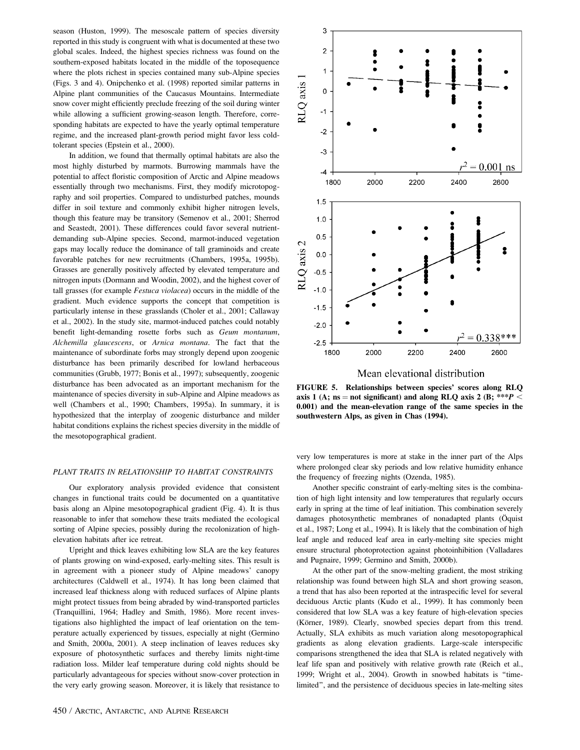season (Huston, 1999). The mesoscale pattern of species diversity reported in this study is congruent with what is documented at these two global scales. Indeed, the highest species richness was found on the southern-exposed habitats located in the middle of the toposequence where the plots richest in species contained many sub-Alpine species (Figs. 3 and 4). Onipchenko et al. (1998) reported similar patterns in Alpine plant communities of the Caucasus Mountains. Intermediate snow cover might efficiently preclude freezing of the soil during winter while allowing a sufficient growing-season length. Therefore, corresponding habitats are expected to have the yearly optimal temperature regime, and the increased plant-growth period might favor less coldtolerant species (Epstein et al., 2000).

In addition, we found that thermally optimal habitats are also the most highly disturbed by marmots. Burrowing mammals have the potential to affect floristic composition of Arctic and Alpine meadows essentially through two mechanisms. First, they modify microtopography and soil properties. Compared to undisturbed patches, mounds differ in soil texture and commonly exhibit higher nitrogen levels, though this feature may be transitory (Semenov et al., 2001; Sherrod and Seastedt, 2001). These differences could favor several nutrientdemanding sub-Alpine species. Second, marmot-induced vegetation gaps may locally reduce the dominance of tall graminoids and create favorable patches for new recruitments (Chambers, 1995a, 1995b). Grasses are generally positively affected by elevated temperature and nitrogen inputs (Dormann and Woodin, 2002), and the highest cover of tall grasses (for example Festuca violacea) occurs in the middle of the gradient. Much evidence supports the concept that competition is particularly intense in these grasslands (Choler et al., 2001; Callaway et al., 2002). In the study site, marmot-induced patches could notably benefit light-demanding rosette forbs such as Geum montanum, Alchemilla glaucescens, or Arnica montana. The fact that the maintenance of subordinate forbs may strongly depend upon zoogenic disturbance has been primarily described for lowland herbaceous communities (Grubb, 1977; Bonis et al., 1997); subsequently, zoogenic disturbance has been advocated as an important mechanism for the maintenance of species diversity in sub-Alpine and Alpine meadows as well (Chambers et al., 1990; Chambers, 1995a). In summary, it is hypothesized that the interplay of zoogenic disturbance and milder habitat conditions explains the richest species diversity in the middle of the mesotopographical gradient.

## PLANT TRAITS IN RELATIONSHIP TO HABITAT CONSTRAINTS

Our exploratory analysis provided evidence that consistent changes in functional traits could be documented on a quantitative basis along an Alpine mesotopographical gradient (Fig. 4). It is thus reasonable to infer that somehow these traits mediated the ecological sorting of Alpine species, possibly during the recolonization of highelevation habitats after ice retreat.

Upright and thick leaves exhibiting low SLA are the key features of plants growing on wind-exposed, early-melting sites. This result is in agreement with a pioneer study of Alpine meadows' canopy architectures (Caldwell et al., 1974). It has long been claimed that increased leaf thickness along with reduced surfaces of Alpine plants might protect tissues from being abraded by wind-transported particles (Tranquillini, 1964; Hadley and Smith, 1986). More recent investigations also highlighted the impact of leaf orientation on the temperature actually experienced by tissues, especially at night (Germino and Smith, 2000a, 2001). A steep inclination of leaves reduces sky exposure of photosynthetic surfaces and thereby limits night-time radiation loss. Milder leaf temperature during cold nights should be particularly advantageous for species without snow-cover protection in the very early growing season. Moreover, it is likely that resistance to



Mean elevational distribution

FIGURE 5. Relationships between species' scores along RLQ axis 1 (A; ns = not significant) and along RLQ axis 2 (B; \*\*\* $P$  < 0.001) and the mean-elevation range of the same species in the southwestern Alps, as given in Chas (1994).

very low temperatures is more at stake in the inner part of the Alps where prolonged clear sky periods and low relative humidity enhance the frequency of freezing nights (Ozenda, 1985).

Another specific constraint of early-melting sites is the combination of high light intensity and low temperatures that regularly occurs early in spring at the time of leaf initiation. This combination severely damages photosynthetic membranes of nonadapted plants (Öquist et al., 1987; Long et al., 1994). It is likely that the combination of high leaf angle and reduced leaf area in early-melting site species might ensure structural photoprotection against photoinhibition (Valladares and Pugnaire, 1999; Germino and Smith, 2000b).

At the other part of the snow-melting gradient, the most striking relationship was found between high SLA and short growing season, a trend that has also been reported at the intraspecific level for several deciduous Arctic plants (Kudo et al., 1999). It has commonly been considered that low SLA was a key feature of high-elevation species (Körner, 1989). Clearly, snowbed species depart from this trend. Actually, SLA exhibits as much variation along mesotopographical gradients as along elevation gradients. Large-scale interspecific comparisons strengthened the idea that SLA is related negatively with leaf life span and positively with relative growth rate (Reich et al., 1999; Wright et al., 2004). Growth in snowbed habitats is ''timelimited'', and the persistence of deciduous species in late-melting sites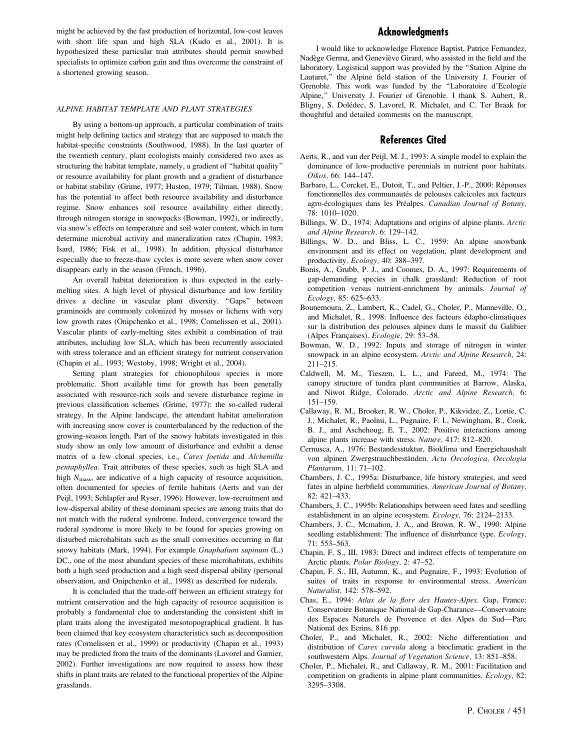might be achieved by the fast production of horizontal, low-cost leaves with short life span and high SLA (Kudo et al., 2001). It is hypothesized these particular trait attributes should permit snowbed specialists to optimize carbon gain and thus overcome the constraint of a shortened growing season.

#### ALPINE HABITAT TEMPLATE AND PLANT STRATEGIES

By using a bottom-up approach, a particular combination of traits might help defining tactics and strategy that are supposed to match the habitat-specific constraints (Southwood, 1988). In the last quarter of the twentieth century, plant ecologists mainly considered two axes as structuring the habitat template, namely, a gradient of ''habitat quality'' or resource availability for plant growth and a gradient of disturbance or habitat stability (Grime, 1977; Huston, 1979; Tilman, 1988). Snow has the potential to affect both resource availability and disturbance regime. Snow enhances soil resource availability either directly, through nitrogen storage in snowpacks (Bowman, 1992), or indirectly, via snow's effects on temperature and soil water content, which in turn determine microbial activity and mineralization rates (Chapin, 1983; Isard, 1986; Fisk et al., 1998). In addition, physical disturbance especially due to freeze-thaw cycles is more severe when snow cover disappears early in the season (French, 1996).

An overall habitat deterioration is thus expected in the earlymelting sites. A high level of physical disturbance and low fertility drives a decline in vascular plant diversity. "Gaps" between graminoids are commonly colonized by mosses or lichens with very low growth rates (Onipchenko et al., 1998; Cornelissen et al., 2001). Vascular plants of early-melting sites exhibit a combination of trait attributes, including low SLA, which has been recurrently associated with stress tolerance and an efficient strategy for nutrient conservation (Chapin et al., 1993; Westoby, 1998; Wright et al., 2004).

Setting plant strategies for chionophilous species is more problematic. Short available time for growth has been generally associated with resource-rich soils and severe disturbance regime in previous classification schemes (Grime, 1977): the so-called ruderal strategy. In the Alpine landscape, the attendant habitat amelioration with increasing snow cover is counterbalanced by the reduction of the growing-season length. Part of the snowy habitats investigated in this study show an only low amount of disturbance and exhibit a dense matrix of a few clonal species, i.e., Carex foetida and Alchemilla pentaphyllea. Trait attributes of these species, such as high SLA and high  $N<sub>mass</sub>$ , are indicative of a high capacity of resource acquisition, often documented for species of fertile habitats (Aerts and van der Peijl, 1993; Schlapfer and Ryser, 1996). However, low-recruitment and low-dispersal ability of these dominant species are among traits that do not match with the ruderal syndrome. Indeed, convergence toward the ruderal syndrome is more likely to be found for species growing on disturbed microhabitats such as the small convexities occurring in flat snowy habitats (Mark, 1994). For example Gnaphalium supinum (L.) DC., one of the most abundant species of these microhabitats, exhibits both a high seed production and a high seed dispersal ability (personal observation, and Onipchenko et al., 1998) as described for ruderals.

It is concluded that the trade-off between an efficient strategy for nutrient conservation and the high capacity of resource acquisition is probably a fundamental clue to understanding the consistent shift in plant traits along the investigated mesotopographical gradient. It has been claimed that key ecosystem characteristics such as decomposition rates (Cornelissen et al., 1999) or productivity (Chapin et al., 1993) may be predicted from the traits of the dominants (Lavorel and Garnier, 2002). Further investigations are now required to assess how these shifts in plant traits are related to the functional properties of the Alpine grasslands.

# Acknowledgments

I would like to acknowledge Florence Baptist, Patrice Fernandez, Nadège Germa, and Geneviève Girard, who assisted in the field and the laboratory. Logistical support was provided by the ''Station Alpine du Lautaret," the Alpine field station of the University J. Fourier of Grenoble. This work was funded by the ''Laboratoire d'Ecologie Alpine,'' University J. Fourier of Grenoble. I thank S. Aubert, R. Bligny, S. Dolédec, S. Lavorel, R. Michalet, and C. Ter Braak for thoughtful and detailed comments on the manuscript.

## References Cited

- Aerts, R., and van der Peijl, M. J., 1993: A simple model to explain the dominance of low-productive perennials in nutrient poor habitats. Oikos, 66: 144–147.
- Barbaro, L., Corcket, E., Dutoit, T., and Peltier, J.-P., 2000: Réponses fonctionnelles des communautés de pelouses calcicoles aux facteurs agro-écologiques dans les Préalpes. Canadian Journal of Botany, 78: 1010–1020.
- Billings, W. D., 1974: Adaptations and origins of alpine plants. Arctic and Alpine Research, 6: 129–142.
- Billings, W. D., and Bliss, L. C., 1959: An alpine snowbank environment and its effect on vegetation, plant development and productivity. Ecology, 40: 388–397.
- Bonis, A., Grubb, P. J., and Coomes, D. A., 1997: Requirements of gap-demanding species in chalk grassland: Reduction of root competition versus nutrient-enrichment by animals. Journal of Ecology, 85: 625–633.
- Bounemoura, Z., Lambert, K., Cadel, G., Choler, P., Manneville, O., and Michalet, R., 1998: Influence des facteurs édapho-climatiques sur la distribution des pelouses alpines dans le massif du Galibier (Alpes Françaises). Ecologie, 29: 53-58.
- Bowman, W. D., 1992: Inputs and storage of nitrogen in winter snowpack in an alpine ecosystem. Arctic and Alpine Research, 24: 211–215.
- Caldwell, M. M., Tieszen, L. L., and Fareed, M., 1974: The canopy structure of tundra plant communities at Barrow, Alaska, and Niwot Ridge, Colorado. Arctic and Alpine Research, 6: 151–159.
- Callaway, R. M., Brooker, R. W., Choler, P., Kikvidze, Z., Lortie, C. J., Michalet, R., Paolini, L., Pugnaire, F. I., Newingham, B., Cook, B. J., and Aschehoug, E. T., 2002: Positive interactions among alpine plants increase with stress. Nature, 417: 812–820.
- Cernusca, A., 1976: Bestandesstuktur, Bioklima und Energiehaushalt von alpinen Zwergstrauchbeständen. Acta Oecologica, Oecologia Plantarum, 11: 71–102.
- Chambers, J. C., 1995a: Disturbance, life history strategies, and seed fates in alpine herbfield communities. American Journal of Botany, 82: 421–433.
- Chambers, J. C., 1995b: Relationships between seed fates and seedling establishment in an alpine ecosystem. Ecology, 76: 2124–2133.
- Chambers, J. C., Mcmahon, J. A., and Brown, R. W., 1990: Alpine seedling establishment: The influence of disturbance type. Ecology, 71: 553–563.
- Chapin, F. S., III, 1983: Direct and indirect effects of temperature on Arctic plants. Polar Biology, 2: 47–52.
- Chapin, F. S., III, Autumn, K., and Pugnaire, F., 1993: Evolution of suites of traits in response to environmental stress. American Naturalist, 142: 578–592.
- Chas, E., 1994: Atlas de la flore des Hautes-Alpes. Gap, France: Conservatoire Botanique National de Gap-Charance—Conservatoire des Espaces Naturels de Provence et des Alpes du Sud—Parc National des Ecrins, 816 pp.
- Choler, P., and Michalet, R., 2002: Niche differentiation and distribution of Carex curvula along a bioclimatic gradient in the southwestern Alps. Journal of Vegetation Science, 13: 851–858.
- Choler, P., Michalet, R., and Callaway, R. M., 2001: Facilitation and competition on gradients in alpine plant communities. Ecology, 82: 3295–3308.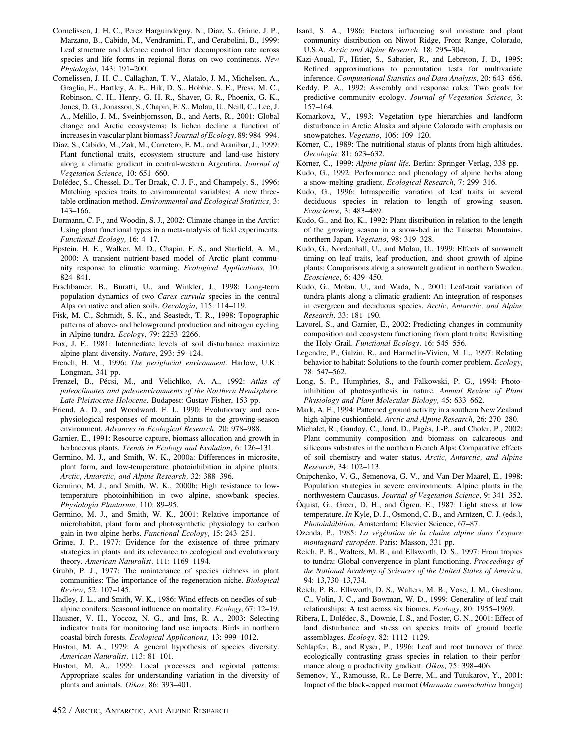- Cornelissen, J. H. C., Perez Harguindeguy, N., Diaz, S., Grime, J. P., Marzano, B., Cabido, M., Vendramini, F., and Cerabolini, B., 1999: Leaf structure and defence control litter decomposition rate across species and life forms in regional floras on two continents. New Phytologist, 143: 191–200.
- Cornelissen, J. H. C., Callaghan, T. V., Alatalo, J. M., Michelsen, A., Graglia, E., Hartley, A. E., Hik, D. S., Hobbie, S. E., Press, M. C., Robinson, C. H., Henry, G. H. R., Shaver, G. R., Phoenix, G. K., Jones, D. G., Jonasson, S., Chapin, F. S., Molau, U., Neill, C., Lee, J. A., Melillo, J. M., Sveinbjornsson, B., and Aerts, R., 2001: Global change and Arctic ecosystems: Is lichen decline a function of increases in vascular plant biomass? Journal of Ecology, 89: 984–994.
- Diaz, S., Cabido, M., Zak, M., Carretero, E. M., and Aranibar, J., 1999: Plant functional traits, ecosystem structure and land-use history along a climatic gradient in central-western Argentina. Journal of Vegetation Science, 10: 651–660.
- Dolédec, S., Chessel, D., Ter Braak, C. J. F., and Champely, S., 1996: Matching species traits to environmental variables: A new threetable ordination method. Environmental and Ecological Statistics, 3: 143–166.
- Dormann, C. F., and Woodin, S. J., 2002: Climate change in the Arctic: Using plant functional types in a meta-analysis of field experiments. Functional Ecology, 16: 4–17.
- Epstein, H. E., Walker, M. D., Chapin, F. S., and Starfield, A. M., 2000: A transient nutrient-based model of Arctic plant community response to climatic warming. Ecological Applications, 10: 824–841.
- Erschbamer, B., Buratti, U., and Winkler, J., 1998: Long-term population dynamics of two Carex curvula species in the central Alps on native and alien soils. Oecologia, 115: 114–119.
- Fisk, M. C., Schmidt, S. K., and Seastedt, T. R., 1998: Topographic patterns of above- and belowground production and nitrogen cycling in Alpine tundra. Ecology, 79: 2253–2266.
- Fox, J. F., 1981: Intermediate levels of soil disturbance maximize alpine plant diversity. Nature, 293: 59–124.
- French, H. M., 1996: The periglacial environment. Harlow, U.K.: Longman, 341 pp.
- Frenzel, B., Pécsi, M., and Velichlko, A. A., 1992: Atlas of paleoclimates and paleoenvironments of the Northern Hemisphere. Late Pleistocene-Holocene. Budapest: Gustav Fisher, 153 pp.
- Friend, A. D., and Woodward, F. I., 1990: Evolutionary and ecophysiological responses of mountain plants to the growing-season environment. Advances in Ecological Research, 20: 978–988.
- Garnier, E., 1991: Resource capture, biomass allocation and growth in herbaceous plants. Trends in Ecology and Evolution, 6: 126–131.
- Germino, M. J., and Smith, W. K., 2000a: Differences in microsite, plant form, and low-temperature photoinhibition in alpine plants. Arctic, Antarctic, and Alpine Research, 32: 388–396.
- Germino, M. J., and Smith, W. K., 2000b: High resistance to lowtemperature photoinhibition in two alpine, snowbank species. Physiologia Plantarum, 110: 89–95.
- Germino, M. J., and Smith, W. K., 2001: Relative importance of microhabitat, plant form and photosynthetic physiology to carbon gain in two alpine herbs. Functional Ecology, 15: 243–251.
- Grime, J. P., 1977: Evidence for the existence of three primary strategies in plants and its relevance to ecological and evolutionary theory. American Naturalist, 111: 1169–1194.
- Grubb, P. J., 1977: The maintenance of species richness in plant communities: The importance of the regeneration niche. Biological Review, 52: 107–145.
- Hadley, J. L., and Smith, W. K., 1986: Wind effects on needles of subalpine conifers: Seasonal influence on mortality. Ecology, 67: 12–19.
- Hausner, V. H., Yoccoz, N. G., and Ims, R. A., 2003: Selecting indicator traits for monitoring land use impacts: Birds in northern coastal birch forests. Ecological Applications, 13: 999–1012.
- Huston, M. A., 1979: A general hypothesis of species diversity. American Naturalist, 113: 81–101.
- Huston, M. A., 1999: Local processes and regional patterns: Appropriate scales for understanding variation in the diversity of plants and animals. Oikos, 86: 393–401.
- Isard, S. A., 1986: Factors influencing soil moisture and plant community distribution on Niwot Ridge, Front Range, Colorado, U.S.A. Arctic and Alpine Research, 18: 295–304.
- Kazi-Aoual, F., Hitier, S., Sabatier, R., and Lebreton, J. D., 1995: Refined approximations to permutation tests for multivariate inference. Computational Statistics and Data Analysis, 20: 643–656.
- Keddy, P. A., 1992: Assembly and response rules: Two goals for predictive community ecology. Journal of Vegetation Science, 3: 157–164.
- Komarkova, V., 1993: Vegetation type hierarchies and landform disturbance in Arctic Alaska and alpine Colorado with emphasis on snowpatches. Vegetatio, 106: 109-120.
- Körner, C., 1989: The nutritional status of plants from high altitudes. Oecologia, 81: 623–632.
- Körner, C., 1999: Alpine plant life. Berlin: Springer-Verlag, 338 pp.
- Kudo, G., 1992: Performance and phenology of alpine herbs along a snow-melting gradient. Ecological Research, 7: 299–316.
- Kudo, G., 1996: Intraspecific variation of leaf traits in several deciduous species in relation to length of growing season. Ecoscience, 3: 483–489.
- Kudo, G., and Ito, K., 1992: Plant distribution in relation to the length of the growing season in a snow-bed in the Taisetsu Mountains, northern Japan. Vegetatio, 98: 319–328.
- Kudo, G., Nordenhall, U., and Molau, U., 1999: Effects of snowmelt timing on leaf traits, leaf production, and shoot growth of alpine plants: Comparisons along a snowmelt gradient in northern Sweden. Ecoscience, 6: 439–450.
- Kudo, G., Molau, U., and Wada, N., 2001: Leaf-trait variation of tundra plants along a climatic gradient: An integration of responses in evergreen and deciduous species. Arctic, Antarctic, and Alpine Research, 33: 181–190.
- Lavorel, S., and Garnier, E., 2002: Predicting changes in community composition and ecosystem functioning from plant traits: Revisiting the Holy Grail. Functional Ecology, 16: 545–556.
- Legendre, P., Galzin, R., and Harmelin-Vivien, M. L., 1997: Relating behavior to habitat: Solutions to the fourth-corner problem. Ecology, 78: 547–562.
- Long, S. P., Humphries, S., and Falkowski, P. G., 1994: Photoinhibition of photosynthesis in nature. Annual Review of Plant Physiology and Plant Molecular Biology, 45: 633–662.
- Mark, A. F., 1994: Patterned ground activity in a southern New Zealand high-alpine cushionfield. Arctic and Alpine Research, 26: 270–280.
- Michalet, R., Gandoy, C., Joud, D., Pagès, J.-P., and Choler, P., 2002: Plant community composition and biomass on calcareous and siliceous substrates in the northern French Alps: Comparative effects of soil chemistry and water status. Arctic, Antarctic, and Alpine Research, 34: 102–113.
- Onipchenko, V. G., Semenova, G. V., and Van Der Maarel, E., 1998: Population strategies in severe environments: Alpine plants in the northwestern Caucasus. Journal of Vegetation Science, 9: 341–352.
- Öquist, G., Greer, D. H., and Ögren, E., 1987: Light stress at low temperature. In Kyle, D. J., Osmond, C. B., and Arntzen, C. J. (eds.), Photoinhibition. Amsterdam: Elsevier Science, 67–87.
- Ozenda, P., 1985: La végétation de la chaîne alpine dans l'espace montagnard européen. Paris: Masson, 331 pp.
- Reich, P. B., Walters, M. B., and Ellsworth, D. S., 1997: From tropics to tundra: Global convergence in plant functioning. Proceedings of the National Academy of Sciences of the United States of America, 94: 13,730–13,734.
- Reich, P. B., Ellsworth, D. S., Walters, M. B., Vose, J. M., Gresham, C., Volin, J. C., and Bowman, W. D., 1999: Generality of leaf trait relationships: A test across six biomes. Ecology, 80: 1955–1969.
- Ribera, I., Dolédec, S., Downie, I. S., and Foster, G. N., 2001: Effect of land disturbance and stress on species traits of ground beetle assemblages. Ecology, 82: 1112–1129.
- Schlapfer, B., and Ryser, P., 1996: Leaf and root turnover of three ecologically contrasting grass species in relation to their performance along a productivity gradient. Oikos, 75: 398–406.
- Semenov, Y., Ramousse, R., Le Berre, M., and Tutukarov, Y., 2001: Impact of the black-capped marmot (Marmota camtschatica bungei)